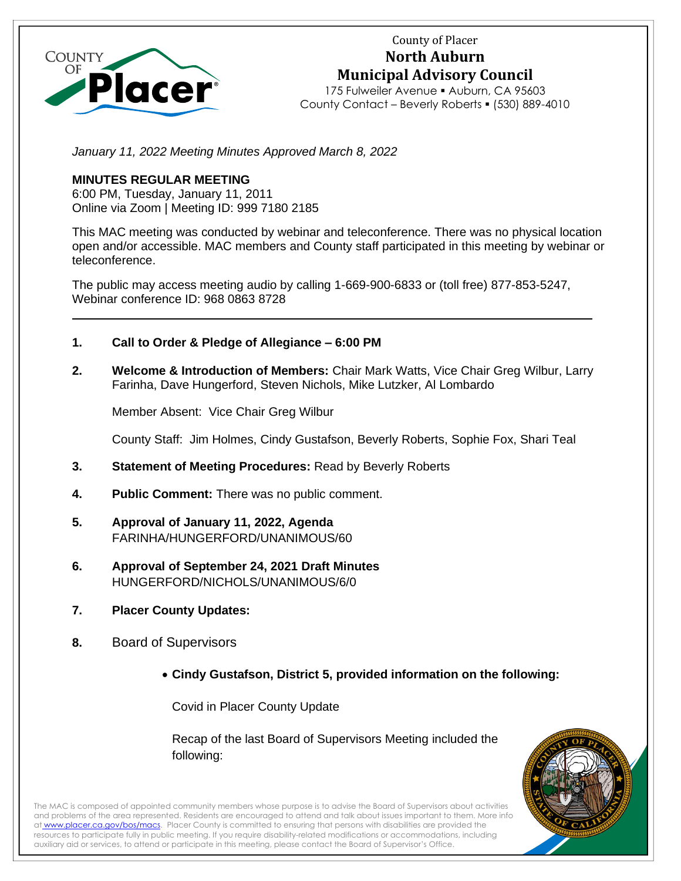

# County of Placer **North Auburn Municipal Advisory Council**

175 Fulweiler Avenue · Auburn, CA 95603 County Contact – Beverly Roberts ▪ (530) 889-4010

January 11, 2022 Meeting Minutes Approved March 8, 2022

# **MINUTES REGULAR MEETING**

6:00 PM, Tuesday, January 11, 2011 Online via Zoom | Meeting ID: 999 7180 2185

This MAC meeting was conducted by webinar and teleconference. There was no physical location open and/or accessible. MAC members and County staff participated in this meeting by webinar or teleconference.

The public may access meeting audio by calling 1-669-900-6833 or (toll free) 877-853-5247, Webinar conference ID: 968 0863 8728

- **1. Call to Order & Pledge of Allegiance – 6:00 PM**
- **2. Welcome & Introduction of Members:** Chair Mark Watts, Vice Chair Greg Wilbur, Larry Farinha, Dave Hungerford, Steven Nichols, Mike Lutzker, Al Lombardo

Member Absent: Vice Chair Greg Wilbur

County Staff: Jim Holmes, Cindy Gustafson, Beverly Roberts, Sophie Fox, Shari Teal

- **3. Statement of Meeting Procedures:** Read by Beverly Roberts
- **4. Public Comment:** There was no public comment.
- **5. Approval of January 11, 2022, Agenda** FARINHA/HUNGERFORD/UNANIMOUS/60
- **6. Approval of September 24, 2021 Draft Minutes** HUNGERFORD/NICHOLS/UNANIMOUS/6/0
- **7. Placer County Updates:**
- **8.** Board of Supervisors
	- **Cindy Gustafson, District 5, provided information on the following:**

Covid in Placer County Update

Recap of the last Board of Supervisors Meeting included the following:



The MAC is composed of appointed community members whose purpose is to advise the Board of Supervisors about activities and problems of the area represented. Residents are encouraged to attend and talk about issues important to them. More info at [www.placer.ca.gov/bos/macs.](https://www.placer.ca.gov/2491/Municipal-Advisory-Councils-MACs) Placer County is committed to ensuring that persons with disabilities are provided the resources to participate fully in public meeting. If you require disability-related modifications or accommodations, including auxiliary aid or services, to attend or participate in this meeting, please contact the Board of Supervisor's Office.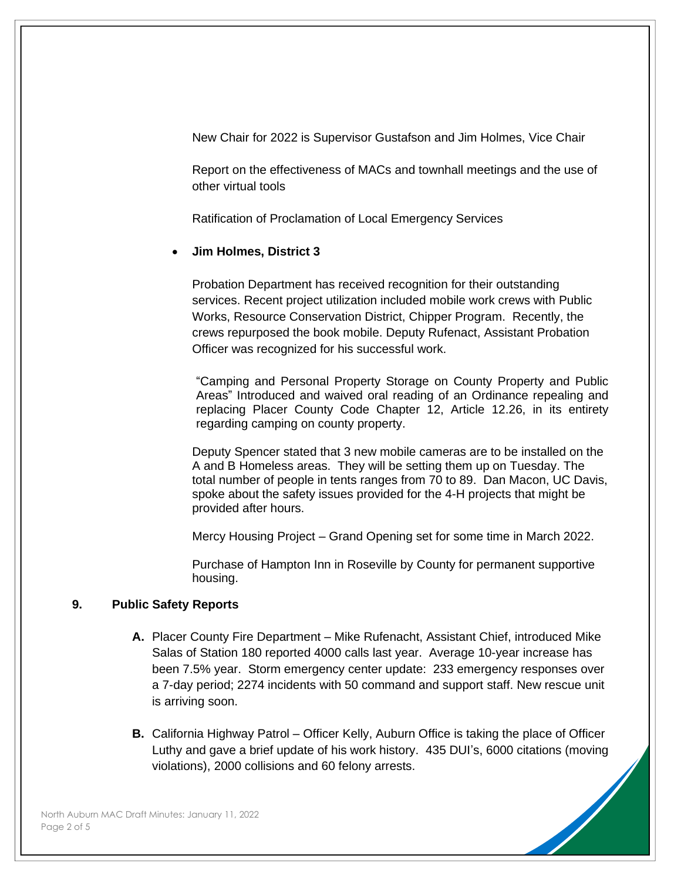New Chair for 2022 is Supervisor Gustafson and Jim Holmes, Vice Chair

Report on the effectiveness of MACs and townhall meetings and the use of other virtual tools

Ratification of Proclamation of Local Emergency Services

# • **Jim Holmes, District 3**

Probation Department has received recognition for their outstanding services. Recent project utilization included mobile work crews with Public Works, Resource Conservation District, Chipper Program. Recently, the crews repurposed the book mobile. Deputy Rufenact, Assistant Probation Officer was recognized for his successful work.

"Camping and Personal Property Storage on County Property and Public Areas" Introduced and waived oral reading of an Ordinance repealing and replacing Placer County Code Chapter 12, Article 12.26, in its entirety regarding camping on county property.

Deputy Spencer stated that 3 new mobile cameras are to be installed on the A and B Homeless areas. They will be setting them up on Tuesday. The total number of people in tents ranges from 70 to 89. Dan Macon, UC Davis, spoke about the safety issues provided for the 4-H projects that might be provided after hours.

Mercy Housing Project – Grand Opening set for some time in March 2022.

Purchase of Hampton Inn in Roseville by County for permanent supportive housing.

# **9. Public Safety Reports**

- **A.** Placer County Fire Department Mike Rufenacht, Assistant Chief, introduced Mike Salas of Station 180 reported 4000 calls last year. Average 10-year increase has been 7.5% year. Storm emergency center update: 233 emergency responses over a 7-day period; 2274 incidents with 50 command and support staff. New rescue unit is arriving soon.
- **B.** California Highway Patrol Officer Kelly, Auburn Office is taking the place of Officer Luthy and gave a brief update of his work history. 435 DUI's, 6000 citations (moving violations), 2000 collisions and 60 felony arrests.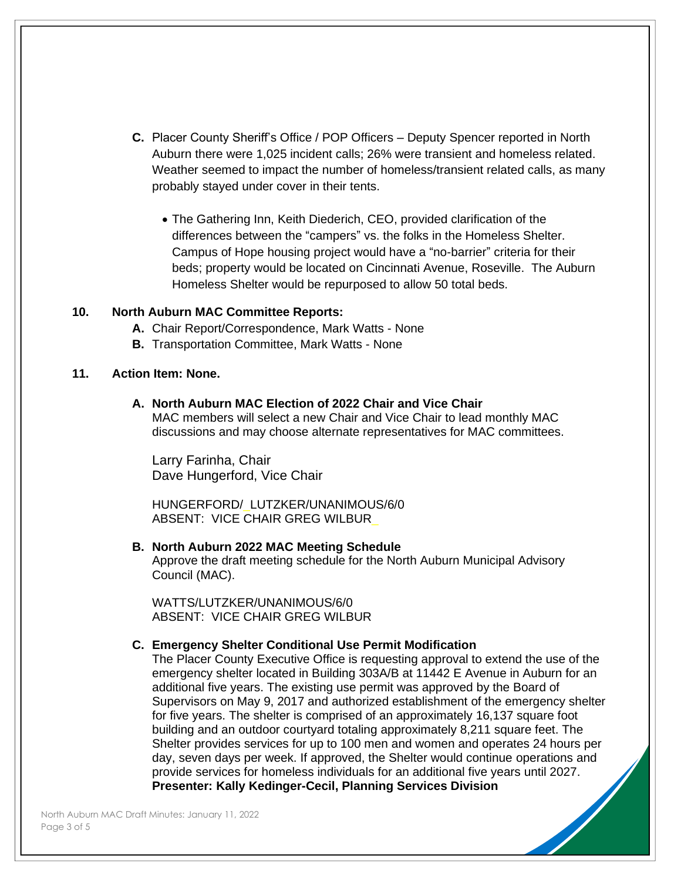- **C.** Placer County Sheriff's Office / POP Officers Deputy Spencer reported in North Auburn there were 1,025 incident calls; 26% were transient and homeless related. Weather seemed to impact the number of homeless/transient related calls, as many probably stayed under cover in their tents.
	- The Gathering Inn, Keith Diederich, CEO, provided clarification of the differences between the "campers" vs. the folks in the Homeless Shelter. Campus of Hope housing project would have a "no-barrier" criteria for their beds; property would be located on Cincinnati Avenue, Roseville. The Auburn Homeless Shelter would be repurposed to allow 50 total beds.

#### **10. North Auburn MAC Committee Reports:**

- **A.** Chair Report/Correspondence, Mark Watts None
- **B.** Transportation Committee, Mark Watts None

#### **11. Action Item: None.**

#### **A. North Auburn MAC Election of 2022 Chair and Vice Chair**

MAC members will select a new Chair and Vice Chair to lead monthly MAC discussions and may choose alternate representatives for MAC committees.

Larry Farinha, Chair Dave Hungerford, Vice Chair

HUNGERFORD/\_LUTZKER/UNANIMOUS/6/0 ABSENT: VICE CHAIR GREG WILBUR\_

# **B. North Auburn 2022 MAC Meeting Schedule**

Approve the draft meeting schedule for the North Auburn Municipal Advisory Council (MAC).

WATTS/LUTZKER/UNANIMOUS/6/0 ABSENT: VICE CHAIR GREG WILBUR

#### **C. Emergency Shelter Conditional Use Permit Modification**

The Placer County Executive Office is requesting approval to extend the use of the emergency shelter located in Building 303A/B at 11442 E Avenue in Auburn for an additional five years. The existing use permit was approved by the Board of Supervisors on May 9, 2017 and authorized establishment of the emergency shelter for five years. The shelter is comprised of an approximately 16,137 square foot building and an outdoor courtyard totaling approximately 8,211 square feet. The Shelter provides services for up to 100 men and women and operates 24 hours per day, seven days per week. If approved, the Shelter would continue operations and provide services for homeless individuals for an additional five years until 2027. **Presenter: Kally Kedinger-Cecil, Planning Services Division**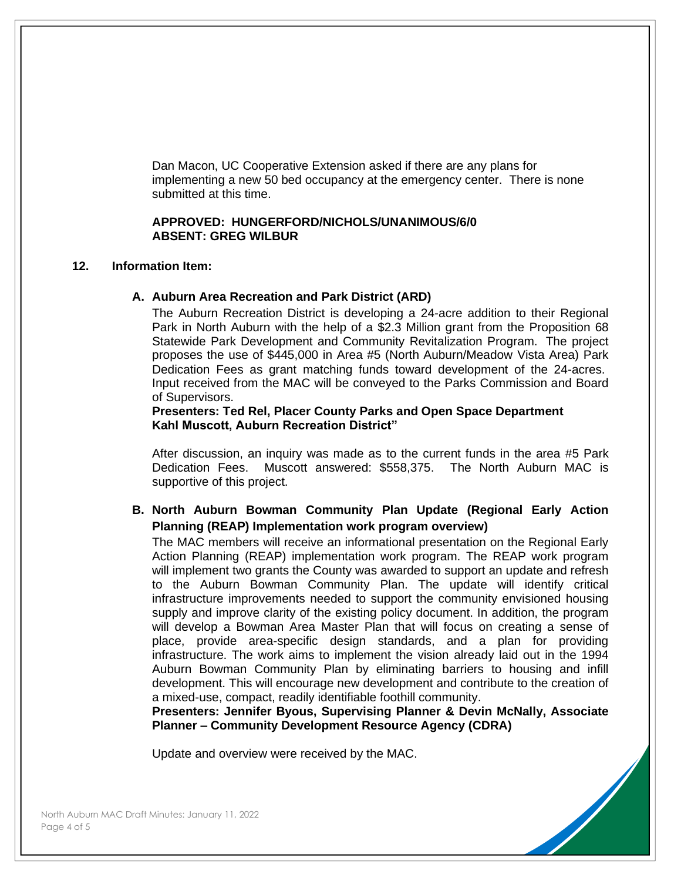Dan Macon, UC Cooperative Extension asked if there are any plans for implementing a new 50 bed occupancy at the emergency center. There is none submitted at this time.

#### **APPROVED: HUNGERFORD/NICHOLS/UNANIMOUS/6/0 ABSENT: GREG WILBUR**

#### **12. Information Item:**

#### **A. Auburn Area Recreation and Park District (ARD)**

The Auburn Recreation District is developing a 24-acre addition to their Regional Park in North Auburn with the help of a \$2.3 Million grant from the Proposition 68 Statewide Park Development and Community Revitalization Program. The project proposes the use of \$445,000 in Area #5 (North Auburn/Meadow Vista Area) Park Dedication Fees as grant matching funds toward development of the 24-acres. Input received from the MAC will be conveyed to the Parks Commission and Board of Supervisors.

#### **Presenters: Ted Rel, Placer County Parks and Open Space Department Kahl Muscott, Auburn Recreation District"**

After discussion, an inquiry was made as to the current funds in the area #5 Park Dedication Fees. Muscott answered: \$558,375. The North Auburn MAC is supportive of this project.

# **B. North Auburn Bowman Community Plan Update (Regional Early Action Planning (REAP) Implementation work program overview)**

The MAC members will receive an informational presentation on the Regional Early Action Planning (REAP) implementation work program. The REAP work program will implement two grants the County was awarded to support an update and refresh to the Auburn Bowman Community Plan. The update will identify critical infrastructure improvements needed to support the community envisioned housing supply and improve clarity of the existing policy document. In addition, the program will develop a Bowman Area Master Plan that will focus on creating a sense of place, provide area-specific design standards, and a plan for providing infrastructure. The work aims to implement the vision already laid out in the 1994 Auburn Bowman Community Plan by eliminating barriers to housing and infill development. This will encourage new development and contribute to the creation of a mixed-use, compact, readily identifiable foothill community.

**Presenters: Jennifer Byous, Supervising Planner & Devin McNally, Associate Planner – Community Development Resource Agency (CDRA)**

Update and overview were received by the MAC.